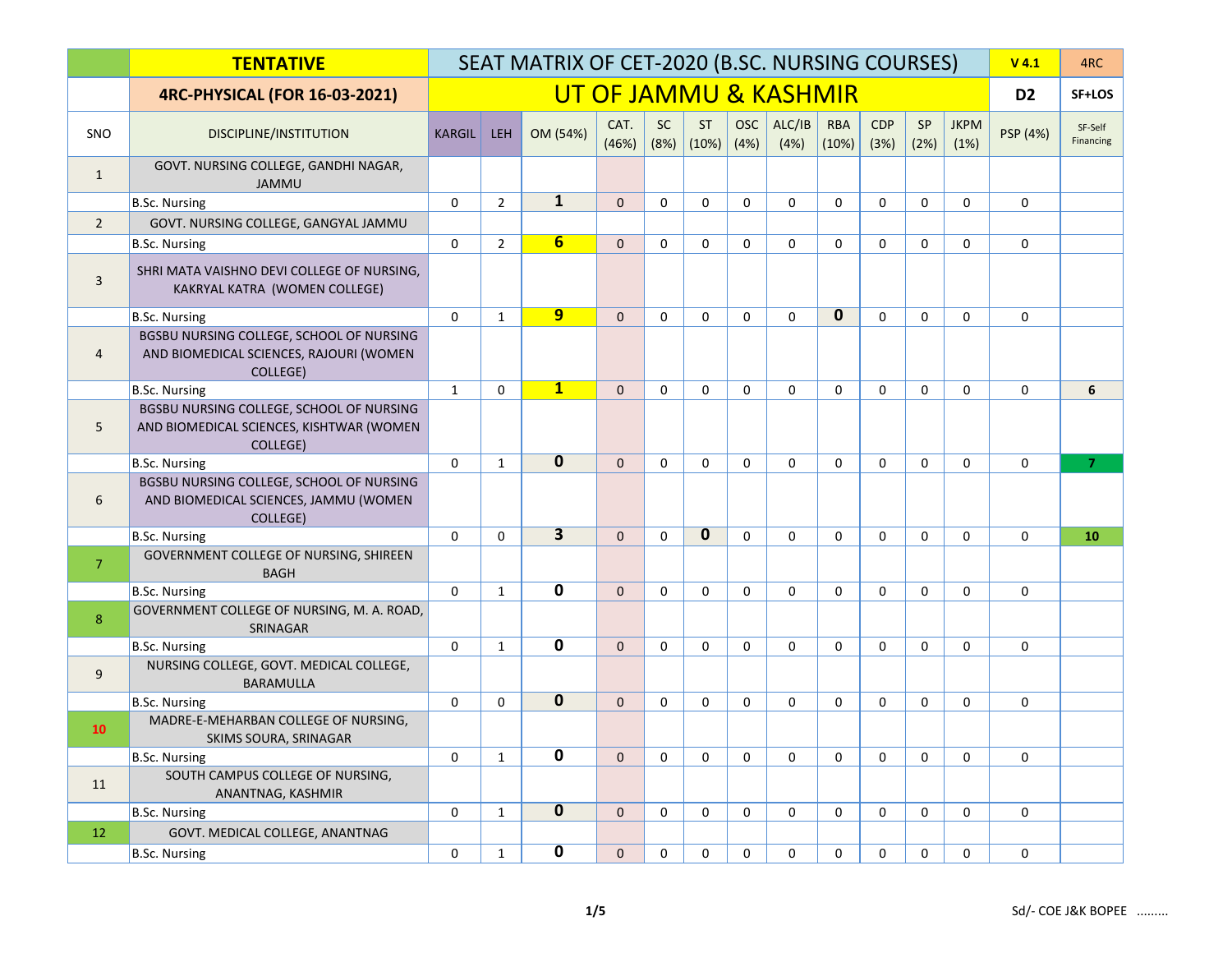|                         | <b>TENTATIVE</b>                                                                                 |               | SEAT MATRIX OF CET-2020 (B.SC. NURSING COURSES) |                         |                |                   |                    |                    |                       |                     |                    |             |                     | $V$ 4.1        | 4RC                  |
|-------------------------|--------------------------------------------------------------------------------------------------|---------------|-------------------------------------------------|-------------------------|----------------|-------------------|--------------------|--------------------|-----------------------|---------------------|--------------------|-------------|---------------------|----------------|----------------------|
|                         | <b>4RC-PHYSICAL (FOR 16-03-2021)</b>                                                             |               |                                                 |                         |                |                   |                    |                    | UT OF JAMMU & KASHMIR |                     |                    |             |                     | D <sub>2</sub> | SF+LOS               |
| SNO                     | DISCIPLINE/INSTITUTION                                                                           | <b>KARGIL</b> | <b>LEH</b>                                      | OM (54%)                | CAT.<br>(46%)  | <b>SC</b><br>(8%) | <b>ST</b><br>(10%) | <b>OSC</b><br>(4%) | ALC/IB<br>(4%)        | <b>RBA</b><br>(10%) | <b>CDP</b><br>(3%) | SP<br>(2%)  | <b>JKPM</b><br>(1%) | PSP (4%)       | SF-Self<br>Financing |
| $\mathbf{1}$            | GOVT. NURSING COLLEGE, GANDHI NAGAR,<br><b>JAMMU</b>                                             |               |                                                 |                         |                |                   |                    |                    |                       |                     |                    |             |                     |                |                      |
|                         | <b>B.Sc. Nursing</b>                                                                             | $\mathbf 0$   | $\overline{2}$                                  | $\mathbf{1}$            | $\overline{0}$ | $\mathbf 0$       | $\mathbf 0$        | $\mathbf 0$        | $\mathbf 0$           | 0                   | $\mathbf 0$        | $\Omega$    | $\mathbf 0$         | $\mathbf 0$    |                      |
| $\overline{2}$          | GOVT. NURSING COLLEGE, GANGYAL JAMMU                                                             |               |                                                 |                         |                |                   |                    |                    |                       |                     |                    |             |                     |                |                      |
|                         | <b>B.Sc. Nursing</b>                                                                             | $\mathbf 0$   | $\overline{2}$                                  | 6                       | $\Omega$       | $\mathbf 0$       | $\mathbf 0$        | $\Omega$           | $\Omega$              | $\Omega$            | $\Omega$           | $\Omega$    | $\Omega$            | $\mathbf 0$    |                      |
| $\overline{\mathbf{3}}$ | SHRI MATA VAISHNO DEVI COLLEGE OF NURSING,<br>KAKRYAL KATRA (WOMEN COLLEGE)                      |               |                                                 |                         |                |                   |                    |                    |                       |                     |                    |             |                     |                |                      |
|                         | <b>B.Sc. Nursing</b>                                                                             | $\Omega$      | $\mathbf{1}$                                    | $\overline{9}$          | $\overline{0}$ | $\Omega$          | $\mathbf 0$        | $\Omega$           | $\Omega$              | $\mathbf{0}$        | $\Omega$           | $\Omega$    | $\Omega$            | $\mathbf 0$    |                      |
| 4                       | BGSBU NURSING COLLEGE, SCHOOL OF NURSING<br>AND BIOMEDICAL SCIENCES, RAJOURI (WOMEN<br>COLLEGE)  |               |                                                 |                         |                |                   |                    |                    |                       |                     |                    |             |                     |                |                      |
|                         | <b>B.Sc. Nursing</b>                                                                             | $\mathbf{1}$  | $\Omega$                                        | $\mathbf{1}$            | $\mathbf{0}$   | $\Omega$          | $\Omega$           | $\Omega$           | $\Omega$              | $\Omega$            | $\Omega$           | $\Omega$    | $\Omega$            | $\Omega$       | 6                    |
| 5                       | BGSBU NURSING COLLEGE, SCHOOL OF NURSING<br>AND BIOMEDICAL SCIENCES, KISHTWAR (WOMEN<br>COLLEGE) |               |                                                 |                         |                |                   |                    |                    |                       |                     |                    |             |                     |                |                      |
|                         | <b>B.Sc. Nursing</b>                                                                             | $\mathbf 0$   | $\mathbf{1}$                                    | $\overline{0}$          | $\mathbf{0}$   | $\Omega$          | $\mathbf 0$        | $\Omega$           | $\mathbf 0$           | 0                   | $\Omega$           | $\Omega$    | $\Omega$            | $\mathbf 0$    | $\overline{7}$       |
| 6                       | BGSBU NURSING COLLEGE, SCHOOL OF NURSING<br>AND BIOMEDICAL SCIENCES, JAMMU (WOMEN<br>COLLEGE)    |               |                                                 |                         |                |                   |                    |                    |                       |                     |                    |             |                     |                |                      |
|                         | <b>B.Sc. Nursing</b>                                                                             | $\mathbf 0$   | $\mathbf 0$                                     | $\overline{3}$          | $\overline{0}$ | $\mathbf 0$       | 0                  | $\mathbf 0$        | $\mathbf 0$           | $\mathbf 0$         | $\mathbf 0$        | $\mathbf 0$ | $\mathbf 0$         | $\mathbf 0$    | 10                   |
| $\overline{7}$          | GOVERNMENT COLLEGE OF NURSING, SHIREEN<br><b>BAGH</b>                                            |               |                                                 |                         |                |                   |                    |                    |                       |                     |                    |             |                     |                |                      |
|                         | <b>B.Sc. Nursing</b>                                                                             | $\mathbf 0$   | $\mathbf{1}$                                    | $\overline{\mathbf{0}}$ | $\overline{0}$ | $\mathbf 0$       | $\mathbf 0$        | 0                  | $\mathbf 0$           | 0                   | $\mathbf 0$        | $\Omega$    | $\mathbf 0$         | $\mathbf 0$    |                      |
| 8                       | GOVERNMENT COLLEGE OF NURSING, M. A. ROAD,<br>SRINAGAR                                           |               |                                                 |                         |                |                   |                    |                    |                       |                     |                    |             |                     |                |                      |
|                         | <b>B.Sc. Nursing</b>                                                                             | $\mathbf 0$   | $\mathbf{1}$                                    | $\overline{\mathbf{0}}$ | $\mathbf{0}$   | $\mathbf 0$       | $\mathbf 0$        | 0                  | 0                     | 0                   | $\mathbf 0$        | $\mathbf 0$ | $\mathbf 0$         | $\mathbf 0$    |                      |
| 9                       | NURSING COLLEGE, GOVT. MEDICAL COLLEGE,<br><b>BARAMULLA</b>                                      |               |                                                 |                         |                |                   |                    |                    |                       |                     |                    |             |                     |                |                      |
|                         | <b>B.Sc. Nursing</b>                                                                             | $\mathbf 0$   | $\mathbf 0$                                     | $\overline{0}$          | $\overline{0}$ | $\mathbf 0$       | $\mathbf 0$        | $\mathbf 0$        | $\mathbf 0$           | $\mathbf 0$         | $\mathbf 0$        | $\mathbf 0$ | $\mathbf 0$         | $\mathbf 0$    |                      |
| 10                      | MADRE-E-MEHARBAN COLLEGE OF NURSING,<br>SKIMS SOURA, SRINAGAR                                    |               |                                                 |                         |                |                   |                    |                    |                       |                     |                    |             |                     |                |                      |
|                         | <b>B.Sc. Nursing</b>                                                                             | $\mathbf 0$   | $\mathbf{1}$                                    | 0                       | $\mathbf{0}$   | $\mathbf 0$       | $\mathbf 0$        | 0                  | 0                     | $\mathbf 0$         | $\mathbf 0$        | $\mathbf 0$ | $\mathbf 0$         | $\mathbf 0$    |                      |
| 11                      | SOUTH CAMPUS COLLEGE OF NURSING,<br>ANANTNAG, KASHMIR                                            |               |                                                 |                         |                |                   |                    |                    |                       |                     |                    |             |                     |                |                      |
|                         | <b>B.Sc. Nursing</b>                                                                             | $\mathbf 0$   | $\mathbf{1}$                                    | $\overline{\mathbf{0}}$ | $\mathbf{0}$   | $\mathbf 0$       | $\mathbf 0$        | $\mathbf 0$        | $\mathbf 0$           | $\mathbf 0$         | $\mathbf 0$        | $\mathbf 0$ | $\mathbf 0$         | $\mathbf 0$    |                      |
| 12                      | GOVT. MEDICAL COLLEGE, ANANTNAG                                                                  |               |                                                 |                         |                |                   |                    |                    |                       |                     |                    |             |                     |                |                      |
|                         | <b>B.Sc. Nursing</b>                                                                             | 0             | $\mathbf{1}$                                    | $\overline{\mathbf{0}}$ | $\overline{0}$ | $\mathbf 0$       | 0                  | 0                  | 0                     | 0                   | 0                  | 0           | 0                   | 0              |                      |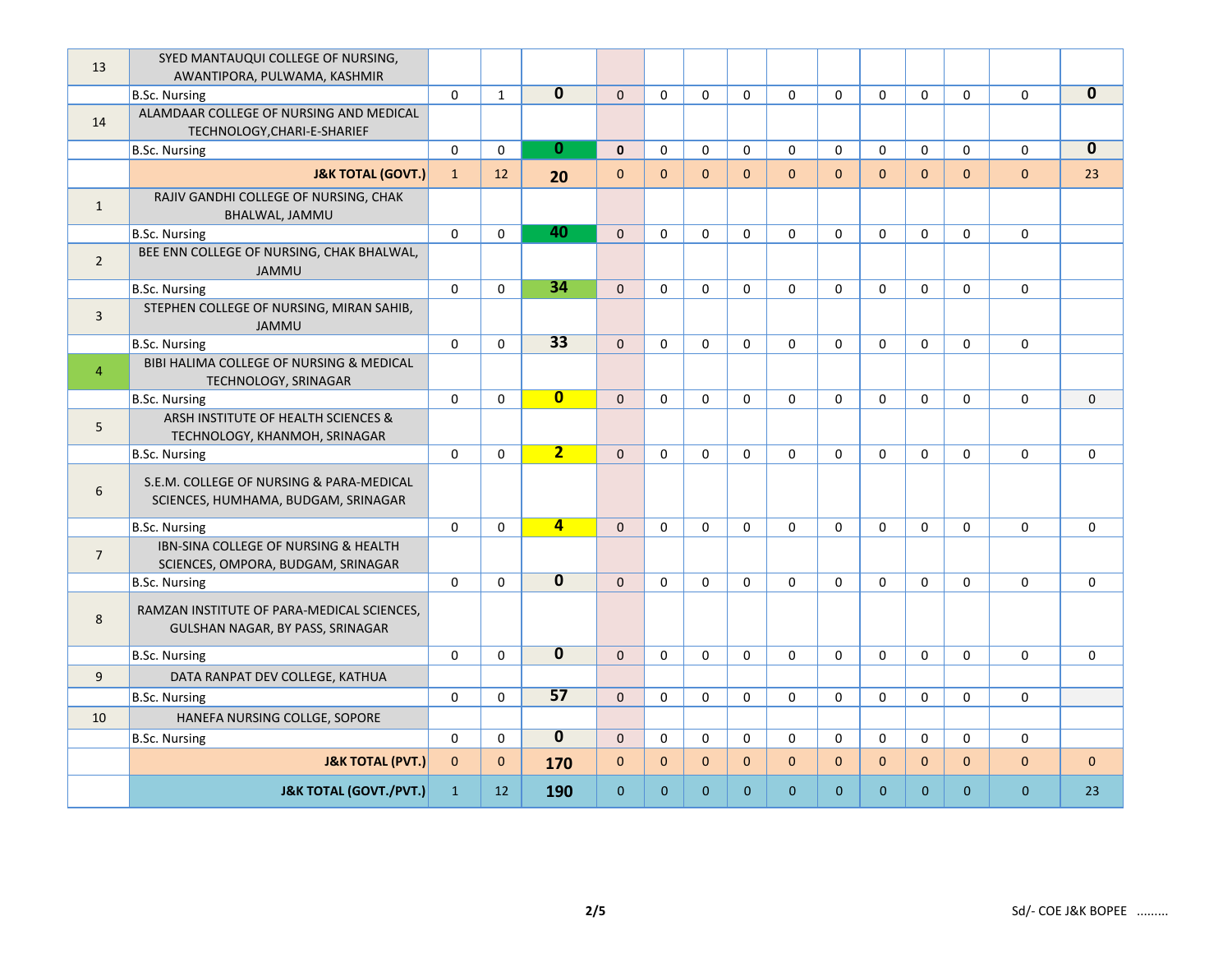| 13             | SYED MANTAUQUI COLLEGE OF NURSING,<br>AWANTIPORA, PULWAMA, KASHMIR              |              |              |                         |                |                |                |                |                |                |              |              |                |              |              |
|----------------|---------------------------------------------------------------------------------|--------------|--------------|-------------------------|----------------|----------------|----------------|----------------|----------------|----------------|--------------|--------------|----------------|--------------|--------------|
|                | <b>B.Sc. Nursing</b>                                                            | $\mathbf 0$  | $\mathbf{1}$ | $\overline{\mathbf{0}}$ | $\mathbf{0}$   | $\mathbf 0$    | $\mathbf 0$    | $\mathbf{0}$   | $\mathbf 0$    | $\mathbf 0$    | $\mathbf 0$  | $\mathbf{0}$ | $\mathbf 0$    | $\mathbf 0$  | $\mathbf 0$  |
| 14             | ALAMDAAR COLLEGE OF NURSING AND MEDICAL<br>TECHNOLOGY, CHARI-E-SHARIEF          |              |              |                         |                |                |                |                |                |                |              |              |                |              |              |
|                | <b>B.Sc. Nursing</b>                                                            | $\mathbf 0$  | $\mathbf 0$  | $\bf{0}$                | $\mathbf{0}$   | $\mathbf 0$    | $\mathbf 0$    | $\mathbf 0$    | $\mathbf 0$    | $\mathbf 0$    | $\mathbf 0$  | $\mathbf 0$  | $\mathbf 0$    | $\mathbf 0$  | $\mathbf{0}$ |
|                | <b>J&amp;K TOTAL (GOVT.)</b>                                                    | $\mathbf{1}$ | 12           | 20                      | $\pmb{0}$      | $\mathbf{0}$   | $\overline{0}$ | $\overline{0}$ | $\overline{0}$ | $\overline{0}$ | $\mathbf{0}$ | $\mathbf{0}$ | $\overline{0}$ | $\pmb{0}$    | 23           |
| $\mathbf{1}$   | RAJIV GANDHI COLLEGE OF NURSING, CHAK<br>BHALWAL, JAMMU                         |              |              |                         |                |                |                |                |                |                |              |              |                |              |              |
|                | <b>B.Sc. Nursing</b>                                                            | $\mathbf 0$  | $\mathbf{0}$ | 40                      | $\mathbf{0}$   | $\mathbf 0$    | $\mathbf 0$    | 0              | $\mathbf 0$    | $\mathbf 0$    | $\Omega$     | $\Omega$     | $\Omega$       | $\mathbf 0$  |              |
| $\overline{2}$ | BEE ENN COLLEGE OF NURSING, CHAK BHALWAL,<br><b>JAMMU</b>                       |              |              |                         |                |                |                |                |                |                |              |              |                |              |              |
|                | <b>B.Sc. Nursing</b>                                                            | $\mathbf 0$  | $\mathbf{0}$ | 34                      | $\overline{0}$ | $\mathbf 0$    | $\mathbf 0$    | $\mathbf{0}$   | $\mathbf 0$    | $\mathbf 0$    | $\mathbf 0$  | $\mathbf{0}$ | $\mathbf 0$    | $\mathbf 0$  |              |
| $\overline{3}$ | STEPHEN COLLEGE OF NURSING, MIRAN SAHIB,<br><b>JAMMU</b>                        |              |              |                         |                |                |                |                |                |                |              |              |                |              |              |
|                | <b>B.Sc. Nursing</b>                                                            | $\mathbf 0$  | $\mathbf{0}$ | $\overline{33}$         | $\mathbf{0}$   | $\mathbf 0$    | $\mathbf 0$    | $\mathbf{0}$   | $\mathbf{0}$   | $\mathbf 0$    | $\mathbf 0$  | $\mathbf{0}$ | $\mathbf 0$    | $\mathbf 0$  |              |
| $\overline{4}$ | BIBI HALIMA COLLEGE OF NURSING & MEDICAL<br>TECHNOLOGY, SRINAGAR                |              |              |                         |                |                |                |                |                |                |              |              |                |              |              |
|                | <b>B.Sc. Nursing</b>                                                            | $\mathbf 0$  | $\Omega$     | $\overline{\mathbf{0}}$ | $\mathbf{0}$   | $\mathbf 0$    | $\mathbf 0$    | $\mathbf 0$    | $\mathbf 0$    | $\Omega$       | $\Omega$     | $\Omega$     | $\Omega$       | $\mathbf 0$  | $\mathbf{0}$ |
| 5              | ARSH INSTITUTE OF HEALTH SCIENCES &<br>TECHNOLOGY, KHANMOH, SRINAGAR            |              |              |                         |                |                |                |                |                |                |              |              |                |              |              |
|                | <b>B.Sc. Nursing</b>                                                            | $\mathbf 0$  | $\mathbf{0}$ | $\overline{2}$          | $\mathbf{0}$   | $\mathbf 0$    | $\mathbf 0$    | $\mathbf{0}$   | 0              | $\mathbf 0$    | $\Omega$     | $\mathbf 0$  | $\Omega$       | $\mathbf 0$  | $\mathbf 0$  |
| 6              | S.E.M. COLLEGE OF NURSING & PARA-MEDICAL<br>SCIENCES, HUMHAMA, BUDGAM, SRINAGAR |              |              |                         |                |                |                |                |                |                |              |              |                |              |              |
|                | <b>B.Sc. Nursing</b>                                                            | $\mathbf 0$  | $\Omega$     | $\overline{4}$          | $\Omega$       | $\Omega$       | $\mathbf 0$    | 0              | $\mathbf 0$    | $\mathbf 0$    | $\Omega$     | $\Omega$     | $\Omega$       | $\mathbf 0$  | $\mathbf 0$  |
| $\overline{7}$ | IBN-SINA COLLEGE OF NURSING & HEALTH<br>SCIENCES, OMPORA, BUDGAM, SRINAGAR      |              |              |                         |                |                |                |                |                |                |              |              |                |              |              |
|                | <b>B.Sc. Nursing</b>                                                            | $\mathbf 0$  | $\mathbf{0}$ | $\overline{\mathbf{0}}$ | $\mathbf{0}$   | $\mathbf 0$    | $\mathbf 0$    | $\mathbf 0$    | $\mathbf 0$    | $\mathbf 0$    | $\mathbf 0$  | $\mathbf{0}$ | $\mathbf 0$    | $\mathbf 0$  | $\mathbf 0$  |
| 8              | RAMZAN INSTITUTE OF PARA-MEDICAL SCIENCES,<br>GULSHAN NAGAR, BY PASS, SRINAGAR  |              |              |                         |                |                |                |                |                |                |              |              |                |              |              |
|                | <b>B.Sc. Nursing</b>                                                            | $\mathbf 0$  | $\mathbf{0}$ | $\overline{\mathbf{0}}$ | $\mathbf{0}$   | $\mathbf 0$    | $\mathbf 0$    | $\mathbf 0$    | 0              | $\mathbf 0$    | $\mathbf 0$  | $\mathbf{0}$ | $\mathbf 0$    | $\mathbf 0$  | $\mathbf 0$  |
| 9              | DATA RANPAT DEV COLLEGE, KATHUA                                                 |              |              |                         |                |                |                |                |                |                |              |              |                |              |              |
|                | <b>B.Sc. Nursing</b>                                                            | $\mathbf 0$  | $\mathbf 0$  | 57                      | $\overline{0}$ | $\mathbf 0$    | $\mathbf 0$    | 0              | $\mathbf 0$    | $\mathbf 0$    | $\mathbf 0$  | $\mathbf 0$  | $\mathbf 0$    | 0            |              |
| 10             | HANEFA NURSING COLLGE, SOPORE                                                   |              |              |                         |                |                |                |                |                |                |              |              |                |              |              |
|                | <b>B.Sc. Nursing</b>                                                            | $\Omega$     | $\Omega$     | $\overline{0}$          | $\Omega$       | $\Omega$       | $\Omega$       | $\Omega$       | $\Omega$       | $\Omega$       | $\Omega$     | $\Omega$     | $\Omega$       | $\mathbf 0$  |              |
|                | <b>J&amp;K TOTAL (PVT.)</b>                                                     | $\mathbf{0}$ | $\mathbf{0}$ | 170                     | $\mathbf{0}$   | $\mathbf{0}$   | $\overline{0}$ | $\mathbf{0}$   | $\overline{0}$ | $\mathbf{0}$   | $\mathbf{0}$ | $\mathbf{0}$ | $\mathbf{0}$   | $\mathbf{0}$ | $\mathbf{0}$ |
|                | <b>J&amp;K TOTAL (GOVT./PVT.)</b>                                               | $\mathbf{1}$ | 12           | 190                     | $\mathbf{0}$   | $\overline{0}$ | $\mathbf{0}$   | $\overline{0}$ | $\mathbf{0}$   | $\overline{0}$ | $\Omega$     | $\Omega$     | $\mathbf{0}$   | $\mathbf{0}$ | 23           |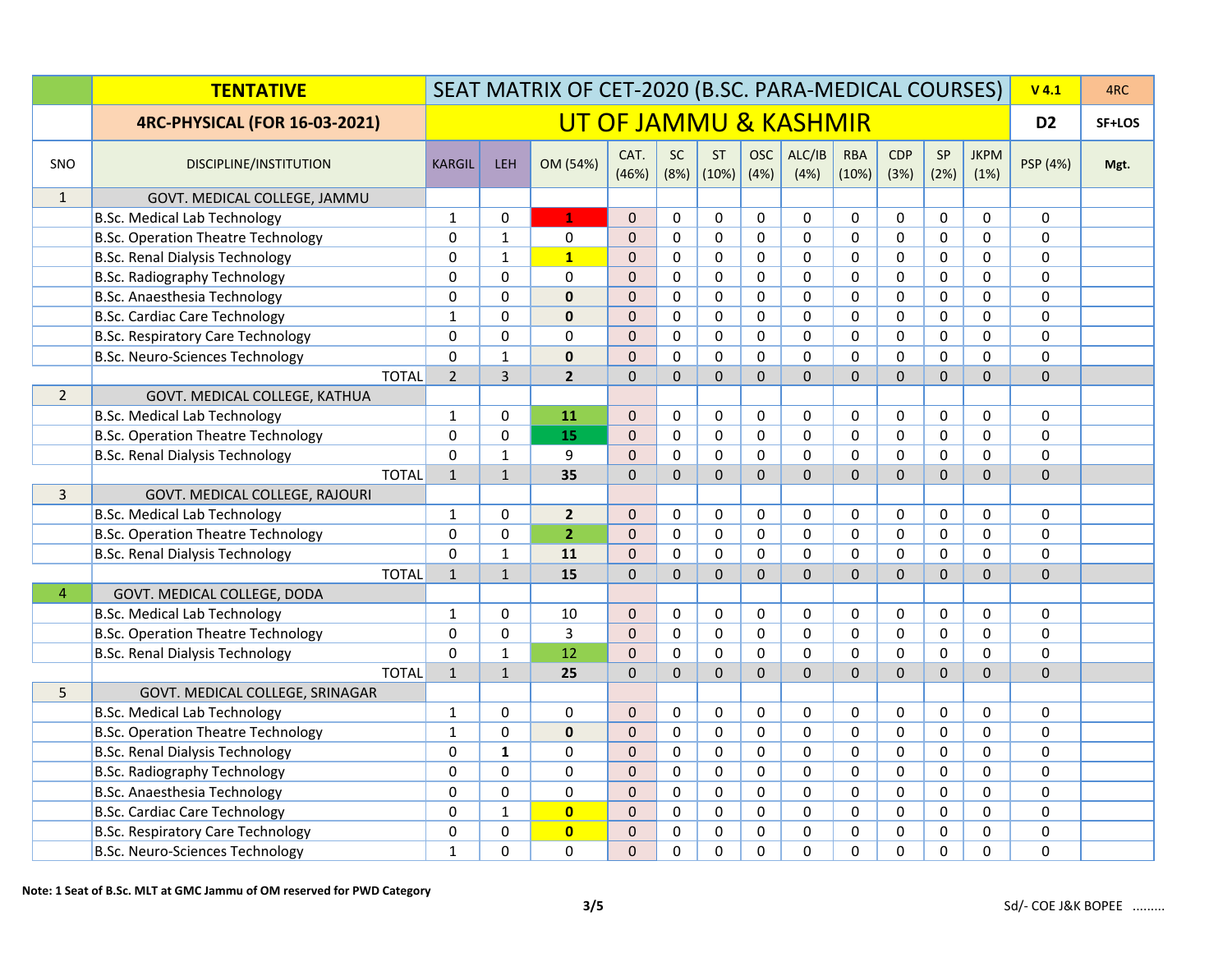|                | <b>TENTATIVE</b>                          | SEAT MATRIX OF CET-2020 (B.SC. PARA-MEDICAL COURSES) |                       |                |                |                   |                    |                    |                |                     |                    | $V$ 4.1      | 4RC                 |                |      |
|----------------|-------------------------------------------|------------------------------------------------------|-----------------------|----------------|----------------|-------------------|--------------------|--------------------|----------------|---------------------|--------------------|--------------|---------------------|----------------|------|
|                | <b>4RC-PHYSICAL (FOR 16-03-2021)</b>      |                                                      | UT OF JAMMU & KASHMIR |                |                |                   |                    |                    |                |                     |                    |              | D <sub>2</sub>      | SF+LOS         |      |
| SNO            | DISCIPLINE/INSTITUTION                    | <b>KARGIL</b>                                        | <b>LEH</b>            | OM (54%)       | CAT.<br>(46%)  | <b>SC</b><br>(8%) | <b>ST</b><br>(10%) | <b>OSC</b><br>(4%) | ALC/IB<br>(4%) | <b>RBA</b><br>(10%) | <b>CDP</b><br>(3%) | SP<br>(2%)   | <b>JKPM</b><br>(1%) | PSP (4%)       | Mgt. |
| $\mathbf{1}$   | GOVT. MEDICAL COLLEGE, JAMMU              |                                                      |                       |                |                |                   |                    |                    |                |                     |                    |              |                     |                |      |
|                | <b>B.Sc. Medical Lab Technology</b>       | $\mathbf{1}$                                         | $\Omega$              | $\mathbf{1}$   | $\Omega$       | $\Omega$          | $\mathbf 0$        | $\Omega$           | $\Omega$       | $\Omega$            | $\mathbf 0$        | $\Omega$     | $\Omega$            | $\Omega$       |      |
|                | <b>B.Sc. Operation Theatre Technology</b> | $\Omega$                                             | $\mathbf{1}$          | $\mathbf 0$    | $\Omega$       | $\Omega$          | $\mathbf 0$        | $\mathbf 0$        | $\mathbf 0$    | $\Omega$            | $\Omega$           | $\mathbf 0$  | 0                   | $\mathbf 0$    |      |
|                | <b>B.Sc. Renal Dialysis Technology</b>    | $\Omega$                                             | $\mathbf{1}$          | $\mathbf{1}$   | $\Omega$       | $\Omega$          | $\mathbf 0$        | 0                  | $\Omega$       | $\Omega$            | 0                  | $\Omega$     | 0                   | $\mathbf 0$    |      |
|                | <b>B.Sc. Radiography Technology</b>       | $\mathbf 0$                                          | $\mathbf 0$           | $\mathbf 0$    | $\mathbf{0}$   | $\Omega$          | $\mathbf 0$        | $\mathbf 0$        | $\mathbf 0$    | $\Omega$            | $\mathbf 0$        | $\mathbf 0$  | $\mathbf 0$         | $\mathbf 0$    |      |
|                | <b>B.Sc. Anaesthesia Technology</b>       | 0                                                    | $\mathbf 0$           | $\mathbf 0$    | $\mathbf 0$    | $\Omega$          | $\mathbf 0$        | $\mathbf 0$        | $\mathbf 0$    | $\mathbf 0$         | $\mathbf 0$        | $\mathbf 0$  | $\mathbf 0$         | $\mathbf 0$    |      |
|                | <b>B.Sc. Cardiac Care Technology</b>      | $\mathbf{1}$                                         | $\Omega$              | $\mathbf 0$    | $\Omega$       | $\Omega$          | $\Omega$           | $\Omega$           | $\Omega$       | $\Omega$            | $\Omega$           | $\mathbf 0$  | $\overline{0}$      | $\mathbf 0$    |      |
|                | <b>B.Sc. Respiratory Care Technology</b>  | $\Omega$                                             | $\Omega$              | $\mathbf 0$    | $\Omega$       | $\Omega$          | $\mathbf 0$        | $\Omega$           | $\Omega$       | $\Omega$            | $\Omega$           | $\Omega$     | $\overline{0}$      | $\mathbf 0$    |      |
|                | <b>B.Sc. Neuro-Sciences Technology</b>    | $\Omega$                                             | $\mathbf{1}$          | $\bf{0}$       | $\Omega$       | $\Omega$          | $\Omega$           | $\Omega$           | $\Omega$       | $\Omega$            | $\Omega$           | $\Omega$     | $\overline{0}$      | $\Omega$       |      |
|                | <b>TOTAL</b>                              | $\overline{2}$                                       | $\overline{3}$        | $\overline{2}$ | $\overline{0}$ | $\Omega$          | $\mathbf{0}$       | $\overline{0}$     | $\Omega$       | $\mathbf{0}$        | $\mathbf{0}$       | $\Omega$     | $\overline{0}$      | $\Omega$       |      |
| $\overline{2}$ | GOVT. MEDICAL COLLEGE, KATHUA             |                                                      |                       |                |                |                   |                    |                    |                |                     |                    |              |                     |                |      |
|                | <b>B.Sc. Medical Lab Technology</b>       | 1                                                    | 0                     | 11             | $\mathbf{0}$   | $\Omega$          | $\mathbf 0$        | $\mathbf 0$        | 0              | 0                   | 0                  | 0            | 0                   | 0              |      |
|                | <b>B.Sc. Operation Theatre Technology</b> | $\Omega$                                             | $\Omega$              | 15             | $\Omega$       | $\Omega$          | $\pmb{0}$          | $\pmb{0}$          | $\Omega$       | $\Omega$            | $\Omega$           | $\pmb{0}$    | $\boldsymbol{0}$    | $\pmb{0}$      |      |
|                | <b>B.Sc. Renal Dialysis Technology</b>    | $\Omega$                                             | $\mathbf{1}$          | 9              | $\Omega$       | $\mathbf{0}$      | $\mathbf 0$        | $\mathbf 0$        | $\Omega$       | $\Omega$            | $\Omega$           | $\mathbf{0}$ | $\mathbf 0$         | $\mathbf 0$    |      |
|                | <b>TOTAL</b>                              | $\mathbf{1}$                                         | $1\,$                 | 35             | $\mathbf{0}$   | $\mathbf{0}$      | $\Omega$           | $\overline{0}$     | $\Omega$       | $\mathbf{0}$        | $\Omega$           | $\Omega$     | $\overline{0}$      | $\overline{0}$ |      |
| 3              | GOVT. MEDICAL COLLEGE, RAJOURI            |                                                      |                       |                |                |                   |                    |                    |                |                     |                    |              |                     |                |      |
|                | <b>B.Sc. Medical Lab Technology</b>       | $\mathbf{1}$                                         | $\mathbf 0$           | $\overline{2}$ | $\mathbf{0}$   | $\mathbf 0$       | $\mathbf 0$        | $\mathbf 0$        | 0              | 0                   | $\mathbf 0$        | $\mathbf 0$  | 0                   | 0              |      |
|                | <b>B.Sc. Operation Theatre Technology</b> | $\mathbf 0$                                          | $\mathbf 0$           | 2 <sup>2</sup> | $\mathbf 0$    | $\mathbf 0$       | $\pmb{0}$          | $\mathbf 0$        | $\mathbf 0$    | $\mathbf 0$         | $\mathbf 0$        | $\mathbf 0$  | $\mathbf 0$         | $\mathbf 0$    |      |
|                | <b>B.Sc. Renal Dialysis Technology</b>    | 0                                                    | $\mathbf{1}$          | 11             | $\Omega$       | $\Omega$          | $\Omega$           | $\Omega$           | $\Omega$       | $\Omega$            | $\Omega$           | $\Omega$     | $\overline{0}$      | $\Omega$       |      |
|                | <b>TOTAL</b>                              | $\mathbf{1}$                                         | $\mathbf{1}$          | 15             | $\Omega$       | $\Omega$          | $\Omega$           | $\overline{0}$     | $\Omega$       | $\Omega$            | $\Omega$           | $\Omega$     | $\overline{0}$      | $\Omega$       |      |
| $\overline{4}$ | GOVT. MEDICAL COLLEGE, DODA               |                                                      |                       |                |                |                   |                    |                    |                |                     |                    |              |                     |                |      |
|                | <b>B.Sc. Medical Lab Technology</b>       | $\mathbf{1}$                                         | $\Omega$              | 10             | $\mathbf{0}$   | $\Omega$          | $\mathbf 0$        | $\Omega$           | $\mathbf 0$    | $\mathbf 0$         | 0                  | 0            | $\mathbf 0$         | $\mathbf 0$    |      |
|                | <b>B.Sc. Operation Theatre Technology</b> | $\mathbf{0}$                                         | $\mathbf 0$           | $\overline{3}$ | $\mathbf 0$    | $\mathbf 0$       | $\mathbf 0$        | $\mathbf 0$        | $\mathbf 0$    | $\mathbf 0$         | $\mathbf 0$        | $\mathbf 0$  | $\mathbf 0$         | $\mathbf 0$    |      |
|                | <b>B.Sc. Renal Dialysis Technology</b>    | $\Omega$                                             | $\mathbf 1$           | 12             | $\mathbf 0$    | 0                 | $\mathbf 0$        | $\mathbf 0$        | $\Omega$       | $\Omega$            | $\mathbf 0$        | $\mathbf 0$  | $\mathbf 0$         | $\mathbf 0$    |      |
|                | <b>TOTAL</b>                              | $\mathbf{1}$                                         | $\mathbf{1}$          | 25             | $\Omega$       | $\Omega$          | $\Omega$           | $\overline{0}$     | $\Omega$       | $\Omega$            | $\Omega$           | $\Omega$     | $\overline{0}$      | $\overline{0}$ |      |
| 5              | GOVT. MEDICAL COLLEGE, SRINAGAR           |                                                      |                       |                |                |                   |                    |                    |                |                     |                    |              |                     |                |      |
|                | <b>B.Sc. Medical Lab Technology</b>       | $\mathbf{1}$                                         | $\Omega$              | $\Omega$       | $\Omega$       | $\Omega$          | $\mathbf 0$        | $\Omega$           | $\mathbf 0$    | $\Omega$            | $\mathbf 0$        | $\mathbf 0$  | $\Omega$            | $\Omega$       |      |
|                | <b>B.Sc. Operation Theatre Technology</b> | $\mathbf{1}$                                         | $\Omega$              | $\mathbf{0}$   | $\Omega$       | $\Omega$          | $\mathbf 0$        | $\mathbf 0$        | $\mathbf 0$    | $\Omega$            | $\Omega$           | $\mathbf 0$  | 0                   | $\mathbf 0$    |      |
|                | <b>B.Sc. Renal Dialysis Technology</b>    | $\Omega$                                             | $\mathbf{1}$          | $\mathbf 0$    | $\Omega$       | $\Omega$          | $\mathbf 0$        | 0                  | $\Omega$       | $\Omega$            | 0                  | $\mathbf 0$  | $\overline{0}$      | $\mathbf 0$    |      |
|                | <b>B.Sc. Radiography Technology</b>       | $\mathbf 0$                                          | $\mathbf 0$           | $\mathbf 0$    | $\overline{0}$ | $\mathbf 0$       | $\mathbf 0$        | $\mathbf 0$        | $\mathbf 0$    | $\mathbf 0$         | $\mathbf 0$        | $\mathbf 0$  | $\mathbf 0$         | $\mathbf 0$    |      |
|                | B.Sc. Anaesthesia Technology              | $\Omega$                                             | $\Omega$              | $\Omega$       | $\Omega$       | $\mathbf{0}$      | $\Omega$           | $\mathbf 0$        | $\mathbf 0$    | $\mathbf{0}$        | $\mathbf{0}$       | $\mathbf 0$  | $\mathbf 0$         | $\Omega$       |      |
|                | <b>B.Sc. Cardiac Care Technology</b>      | $\Omega$                                             | $\mathbf{1}$          | $\overline{0}$ | $\mathbf 0$    | $\Omega$          | $\Omega$           | 0                  | $\Omega$       | $\Omega$            | $\Omega$           | $\mathbf 0$  | 0                   | $\mathbf 0$    |      |
|                | <b>B.Sc. Respiratory Care Technology</b>  | $\Omega$                                             | $\Omega$              | $\mathbf{0}$   | $\mathbf{0}$   | $\Omega$          | $\mathbf 0$        | $\Omega$           | $\Omega$       | $\Omega$            | $\Omega$           | $\Omega$     | 0                   | $\mathbf 0$    |      |
|                | <b>B.Sc. Neuro-Sciences Technology</b>    | $\mathbf{1}$                                         | $\Omega$              | $\overline{0}$ | $\mathbf{0}$   | $\Omega$          | $\Omega$           | 0                  | $\Omega$       | $\Omega$            | 0                  | $\Omega$     | $\overline{0}$      | 0              |      |

**Note: 1 Seat of B.Sc. MLT at GMC Jammu of OM reserved for PWD Category**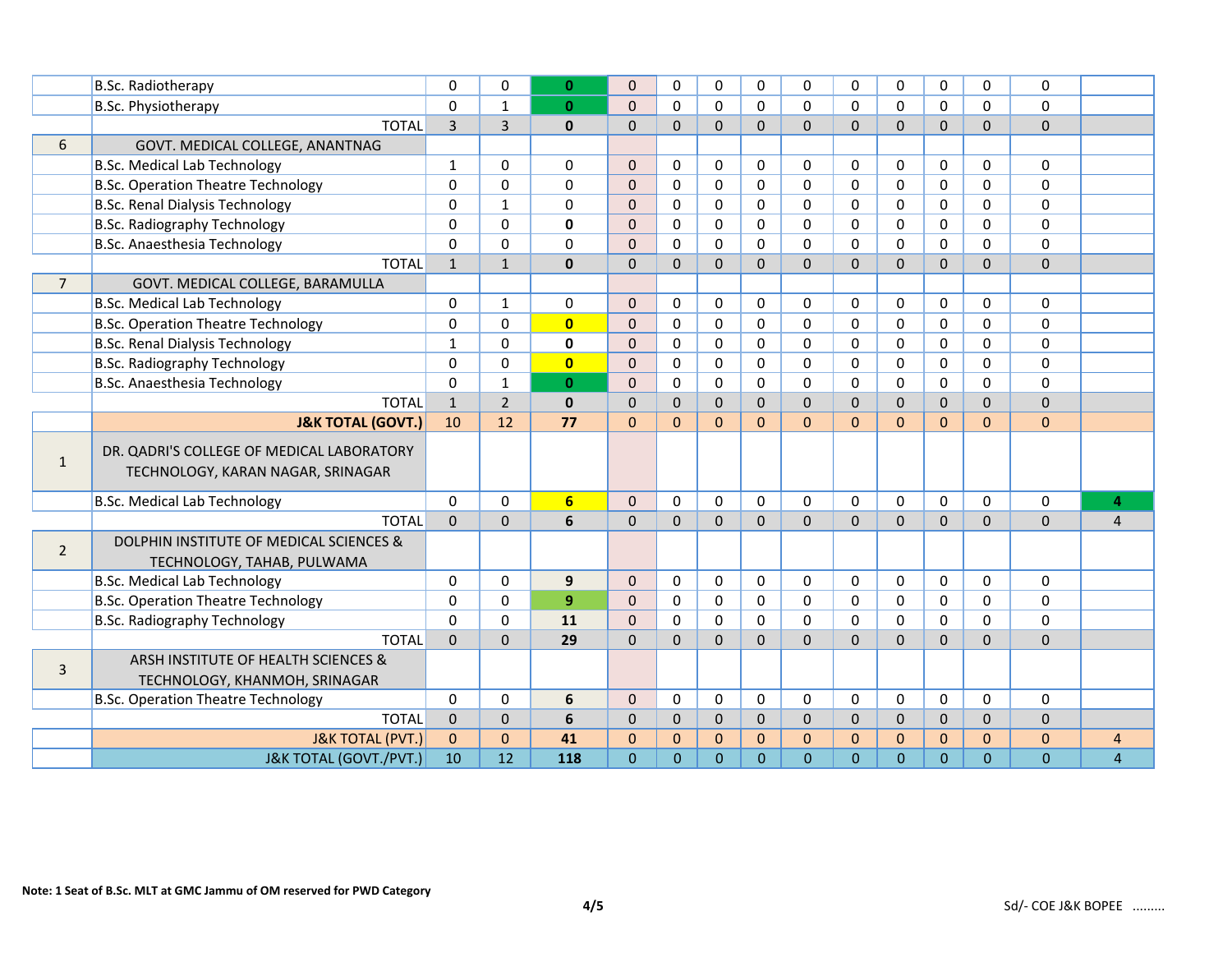|                | <b>B.Sc. Radiotherapy</b>                 | $\Omega$       | $\Omega$       | $\mathbf{0}$   | $\Omega$       | $\Omega$       | $\Omega$       | $\Omega$     | $\Omega$       | $\Omega$       | $\Omega$       | $\Omega$       | $\Omega$     | $\Omega$       |                |
|----------------|-------------------------------------------|----------------|----------------|----------------|----------------|----------------|----------------|--------------|----------------|----------------|----------------|----------------|--------------|----------------|----------------|
|                | B.Sc. Physiotherapy                       | $\mathbf{0}$   | $\mathbf{1}$   | $\mathbf{0}$   | $\Omega$       | $\Omega$       | $\Omega$       | $\Omega$     | $\Omega$       | $\Omega$       | $\Omega$       | $\Omega$       | $\Omega$     | $\Omega$       |                |
|                | <b>TOTAL</b>                              | $\overline{3}$ | $\overline{3}$ | $\mathbf{0}$   | $\Omega$       | $\Omega$       | $\Omega$       | $\Omega$     | $\Omega$       | $\Omega$       | $\Omega$       | $\Omega$       | $\Omega$     | $\Omega$       |                |
| 6              | GOVT. MEDICAL COLLEGE, ANANTNAG           |                |                |                |                |                |                |              |                |                |                |                |              |                |                |
|                | <b>B.Sc. Medical Lab Technology</b>       | $\mathbf{1}$   | $\Omega$       | 0              | $\overline{0}$ | $\Omega$       | 0              | $\mathbf 0$  | $\mathbf 0$    | $\Omega$       | $\Omega$       | $\mathbf{0}$   | $\Omega$     | $\Omega$       |                |
|                | <b>B.Sc. Operation Theatre Technology</b> | 0              | $\Omega$       | $\Omega$       | $\Omega$       | $\Omega$       | $\Omega$       | $\Omega$     | $\Omega$       | $\Omega$       | $\Omega$       | $\mathbf{0}$   | $\Omega$     | $\Omega$       |                |
|                | <b>B.Sc. Renal Dialysis Technology</b>    | 0              | $\mathbf{1}$   | $\Omega$       | $\mathbf 0$    | $\Omega$       | 0              | $\Omega$     | $\mathbf 0$    | $\Omega$       | $\Omega$       | $\mathbf{0}$   | $\Omega$     | $\mathbf 0$    |                |
|                | <b>B.Sc. Radiography Technology</b>       | 0              | $\Omega$       | 0              | $\mathbf 0$    | $\Omega$       | 0              | $\Omega$     | $\Omega$       | $\Omega$       | $\Omega$       | $\mathbf{0}$   | $\Omega$     | $\mathbf 0$    |                |
|                | B.Sc. Anaesthesia Technology              | 0              | $\Omega$       | $\mathbf{0}$   | $\mathbf 0$    | $\Omega$       | 0              | $\Omega$     | $\mathbf 0$    | 0              | $\Omega$       | $\mathbf{0}$   | $\Omega$     | $\Omega$       |                |
|                | <b>TOTAL</b>                              | $\mathbf{1}$   | $\mathbf{1}$   | $\mathbf{0}$   | $\mathbf{0}$   | 0              | $\Omega$       | $\Omega$     | $\Omega$       | $\Omega$       | $\Omega$       | $\Omega$       | $\Omega$     | $\Omega$       |                |
| $\overline{7}$ | GOVT. MEDICAL COLLEGE, BARAMULLA          |                |                |                |                |                |                |              |                |                |                |                |              |                |                |
|                | <b>B.Sc. Medical Lab Technology</b>       | 0              | $\mathbf{1}$   | 0              | $\overline{0}$ | $\Omega$       | 0              | $\mathbf 0$  | $\mathbf 0$    | $\Omega$       | 0              | $\mathbf 0$    | $\mathbf 0$  | $\Omega$       |                |
|                | <b>B.Sc. Operation Theatre Technology</b> | 0              | $\mathbf 0$    | $\overline{0}$ | $\mathbf 0$    | $\Omega$       | 0              | $\mathbf 0$  | $\mathbf 0$    | $\Omega$       | $\mathbf 0$    | $\mathbf 0$    | $\mathbf 0$  | $\mathbf 0$    |                |
|                | <b>B.Sc. Renal Dialysis Technology</b>    | $\mathbf{1}$   | $\Omega$       | $\mathbf 0$    | $\mathbf{0}$   | $\Omega$       | $\Omega$       | $\Omega$     | $\Omega$       | $\Omega$       | $\Omega$       | $\mathbf{0}$   | $\Omega$     | $\Omega$       |                |
|                | <b>B.Sc. Radiography Technology</b>       | 0              | $\Omega$       | $\overline{0}$ | $\Omega$       | $\Omega$       | $\Omega$       | $\Omega$     | $\Omega$       | $\Omega$       | $\Omega$       | $\mathbf{0}$   | $\Omega$     | $\mathbf 0$    |                |
|                | B.Sc. Anaesthesia Technology              | $\Omega$       | $\mathbf{1}$   | $\mathbf{0}$   | $\mathbf{0}$   | $\Omega$       | 0              | $\Omega$     | $\Omega$       | $\Omega$       | $\Omega$       | $\mathbf{0}$   | $\Omega$     | $\Omega$       |                |
|                | <b>TOTAL</b>                              | $\mathbf{1}$   | $\overline{2}$ | $\mathbf{0}$   | $\mathbf{0}$   | 0              | $\Omega$       | $\mathbf{0}$ | $\overline{0}$ | $\Omega$       | $\mathbf{0}$   | $\Omega$       | $\mathbf{0}$ | $\mathbf 0$    |                |
|                | <b>J&amp;K TOTAL (GOVT.)</b>              | 10             | 12             | 77             | $\Omega$       | $\Omega$       | $\Omega$       | $\Omega$     | $\Omega$       | $\Omega$       | $\Omega$       | $\Omega$       | $\Omega$     | $\Omega$       |                |
|                | DR. QADRI'S COLLEGE OF MEDICAL LABORATORY |                |                |                |                |                |                |              |                |                |                |                |              |                |                |
| $\mathbf{1}$   | TECHNOLOGY, KARAN NAGAR, SRINAGAR         |                |                |                |                |                |                |              |                |                |                |                |              |                |                |
|                |                                           |                |                |                |                |                |                |              |                |                |                |                |              |                |                |
|                | <b>B.Sc. Medical Lab Technology</b>       | $\Omega$       | $\Omega$       | 6 <sup>1</sup> | $\Omega$       | $\Omega$       | 0              | $\Omega$     | $\Omega$       | $\Omega$       | $\Omega$       | $\mathbf{0}$   | $\Omega$     | $\Omega$       | 4              |
|                | <b>TOTAL</b>                              | $\mathbf{0}$   | $\Omega$       | 6              | $\Omega$       | $\overline{0}$ | $\Omega$       | $\Omega$     | $\Omega$       | $\Omega$       | $\Omega$       | $\mathbf{0}$   | $\Omega$     | $\overline{0}$ | $\overline{4}$ |
| $\overline{2}$ | DOLPHIN INSTITUTE OF MEDICAL SCIENCES &   |                |                |                |                |                |                |              |                |                |                |                |              |                |                |
|                | TECHNOLOGY, TAHAB, PULWAMA                |                |                |                |                |                |                |              |                |                |                |                |              |                |                |
|                | <b>B.Sc. Medical Lab Technology</b>       | 0              | $\Omega$       | 9              | $\mathbf{0}$   | $\Omega$       | 0              | $\mathbf 0$  | $\mathbf 0$    | $\Omega$       | $\Omega$       | $\mathbf{0}$   | $\mathbf 0$  | $\mathbf 0$    |                |
|                | <b>B.Sc. Operation Theatre Technology</b> | 0              | $\Omega$       | 9              | $\mathbf{0}$   | $\Omega$       | $\Omega$       | $\Omega$     | $\mathbf 0$    | $\Omega$       | $\Omega$       | $\mathbf{0}$   | $\Omega$     | $\mathbf 0$    |                |
|                | <b>B.Sc. Radiography Technology</b>       | $\Omega$       | $\Omega$       | 11             | $\overline{0}$ | $\Omega$       | $\Omega$       | $\mathbf 0$  | $\Omega$       | $\Omega$       | $\Omega$       | $\mathbf{0}$   | $\Omega$     | $\Omega$       |                |
|                | <b>TOTAL</b>                              | $\overline{0}$ | $\Omega$       | 29             | $\mathbf 0$    | 0              | $\Omega$       | $\Omega$     | $\Omega$       | $\overline{0}$ | $\overline{0}$ | $\Omega$       | $\Omega$     | $\mathbf 0$    |                |
| 3              | ARSH INSTITUTE OF HEALTH SCIENCES &       |                |                |                |                |                |                |              |                |                |                |                |              |                |                |
|                | TECHNOLOGY, KHANMOH, SRINAGAR             |                |                |                |                |                |                |              |                |                |                |                |              |                |                |
|                | <b>B.Sc. Operation Theatre Technology</b> | 0              | $\mathbf 0$    | 6              | $\mathbf{0}$   | 0              | 0              | $\mathbf 0$  | $\mathbf 0$    | $\Omega$       | $\Omega$       | $\mathbf{0}$   | $\mathbf 0$  | $\mathbf 0$    |                |
|                | <b>TOTAL</b>                              | $\mathbf 0$    | $\overline{0}$ | 6              | $\mathbf 0$    | 0              | $\mathbf{0}$   | $\mathbf{0}$ | $\overline{0}$ | $\overline{0}$ | $\overline{0}$ | $\mathbf{0}$   | $\mathbf{0}$ | $\mathbf 0$    |                |
|                | <b>J&amp;K TOTAL (PVT.)</b>               | $\mathbf{0}$   | $\Omega$       | 41             | $\mathbf{0}$   | $\Omega$       | $\Omega$       | $\mathbf{0}$ | $\Omega$       | $\Omega$       | $\Omega$       | $\Omega$       | $\mathbf{0}$ | $\mathbf{0}$   | 4              |
|                | J&K TOTAL (GOVT./PVT.)                    | 10             | 12             | 118            | $\overline{0}$ | $\overline{0}$ | $\overline{0}$ | $\mathbf{0}$ | $\mathbf{0}$   | $\Omega$       | $\overline{0}$ | $\overline{0}$ | $\Omega$     | $\overline{0}$ | $\overline{4}$ |